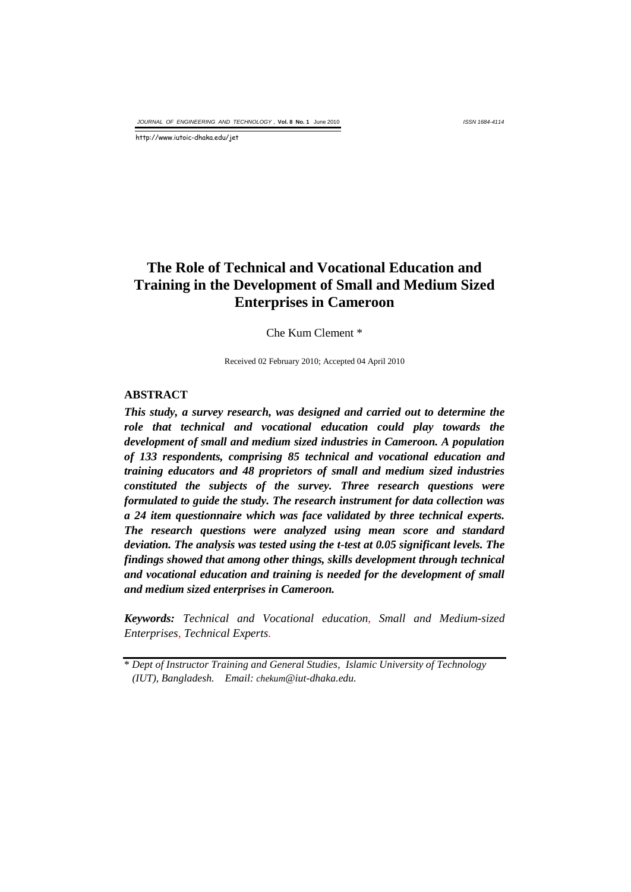*ISSN 1684-4114*

http://www.iutoic-dhaka.edu/jet

# **The Role of Technical and Vocational Education and Training in the Development of Small and Medium Sized Enterprises in Cameroon**

Che Kum Clement \*

Received 02 February 2010; Accepted 04 April 2010

#### **ABSTRACT**

*This study, a survey research, was designed and carried out to determine the role that technical and vocational education could play towards the development of small and medium sized industries in Cameroon. A population of 133 respondents, comprising 85 technical and vocational education and training educators and 48 proprietors of small and medium sized industries constituted the subjects of the survey. Three research questions were formulated to guide the study. The research instrument for data collection was a 24 item questionnaire which was face validated by three technical experts. The research questions were analyzed using mean score and standard deviation. The analysis was tested using the t-test at 0.05 significant levels. The findings showed that among other things, skills development through technical and vocational education and training is needed for the development of small and medium sized enterprises in Cameroon.*

*Keywords: Technical and Vocational education*, *Small and Medium-sized Enterprises*, *Technical Experts.*

<sup>\*</sup> *Dept of Instructor Training and General Studies, Islamic University of Technology (IUT), Bangladesh. Email: chekum@iut-dhaka.edu.*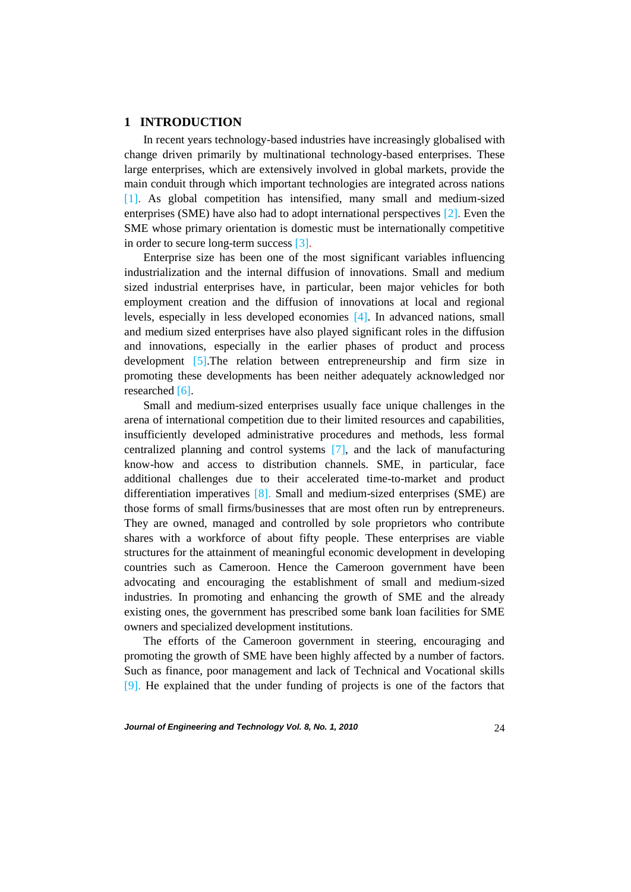### **1 INTRODUCTION**

In recent years technology-based industries have increasingly globalised with change driven primarily by multinational technology-based enterprises. These large enterprises, which are extensively involved in global markets, provide the main conduit through which important technologies are integrated across nations [1]. As global competition has intensified, many small and medium-sized enterprises (SME) have also had to adopt international perspectives [2]. Even the SME whose primary orientation is domestic must be internationally competitive in order to secure long-term success [3].

Enterprise size has been one of the most significant variables influencing industrialization and the internal diffusion of innovations. Small and medium sized industrial enterprises have, in particular, been major vehicles for both employment creation and the diffusion of innovations at local and regional levels, especially in less developed economies [4]. In advanced nations, small and medium sized enterprises have also played significant roles in the diffusion and innovations, especially in the earlier phases of product and process development [5].The relation between entrepreneurship and firm size in promoting these developments has been neither adequately acknowledged nor researched [6].

Small and medium-sized enterprises usually face unique challenges in the arena of international competition due to their limited resources and capabilities, insufficiently developed administrative procedures and methods, less formal centralized planning and control systems [7], and the lack of manufacturing know-how and access to distribution channels. SME, in particular, face additional challenges due to their accelerated time-to-market and product differentiation imperatives [8]. Small and medium-sized enterprises (SME) are those forms of small firms/businesses that are most often run by entrepreneurs. They are owned, managed and controlled by sole proprietors who contribute shares with a workforce of about fifty people. These enterprises are viable structures for the attainment of meaningful economic development in developing countries such as Cameroon. Hence the Cameroon government have been advocating and encouraging the establishment of small and medium-sized industries. In promoting and enhancing the growth of SME and the already existing ones, the government has prescribed some bank loan facilities for SME owners and specialized development institutions.

The efforts of the Cameroon government in steering, encouraging and promoting the growth of SME have been highly affected by a number of factors. Such as finance, poor management and lack of Technical and Vocational skills [9]. He explained that the under funding of projects is one of the factors that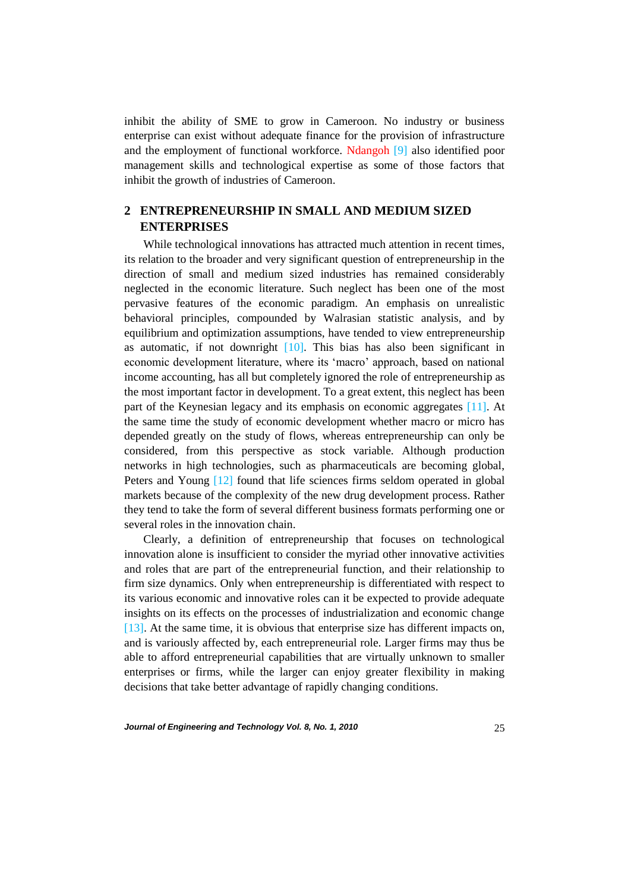inhibit the ability of SME to grow in Cameroon. No industry or business enterprise can exist without adequate finance for the provision of infrastructure and the employment of functional workforce. Ndangoh [9] also identified poor management skills and technological expertise as some of those factors that inhibit the growth of industries of Cameroon.

# **2 ENTREPRENEURSHIP IN SMALL AND MEDIUM SIZED ENTERPRISES**

While technological innovations has attracted much attention in recent times, its relation to the broader and very significant question of entrepreneurship in the direction of small and medium sized industries has remained considerably neglected in the economic literature. Such neglect has been one of the most pervasive features of the economic paradigm. An emphasis on unrealistic behavioral principles, compounded by Walrasian statistic analysis, and by equilibrium and optimization assumptions, have tended to view entrepreneurship as automatic, if not downright  $[10]$ . This bias has also been significant in economic development literature, where its 'macro' approach, based on national income accounting, has all but completely ignored the role of entrepreneurship as the most important factor in development. To a great extent, this neglect has been part of the Keynesian legacy and its emphasis on economic aggregates [11]. At the same time the study of economic development whether macro or micro has depended greatly on the study of flows, whereas entrepreneurship can only be considered, from this perspective as stock variable. Although production networks in high technologies, such as pharmaceuticals are becoming global, Peters and Young [12] found that life sciences firms seldom operated in global markets because of the complexity of the new drug development process. Rather they tend to take the form of several different business formats performing one or several roles in the innovation chain.

Clearly, a definition of entrepreneurship that focuses on technological innovation alone is insufficient to consider the myriad other innovative activities and roles that are part of the entrepreneurial function, and their relationship to firm size dynamics. Only when entrepreneurship is differentiated with respect to its various economic and innovative roles can it be expected to provide adequate insights on its effects on the processes of industrialization and economic change [13]. At the same time, it is obvious that enterprise size has different impacts on, and is variously affected by, each entrepreneurial role. Larger firms may thus be able to afford entrepreneurial capabilities that are virtually unknown to smaller enterprises or firms, while the larger can enjoy greater flexibility in making decisions that take better advantage of rapidly changing conditions.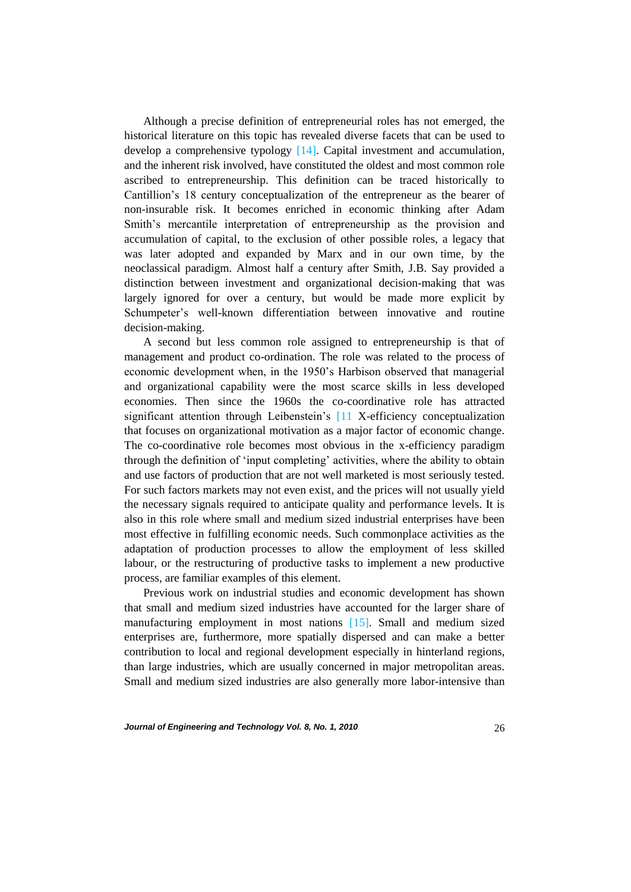Although a precise definition of entrepreneurial roles has not emerged, the historical literature on this topic has revealed diverse facets that can be used to develop a comprehensive typology [14]. Capital investment and accumulation, and the inherent risk involved, have constituted the oldest and most common role ascribed to entrepreneurship. This definition can be traced historically to Cantillion's 18 century conceptualization of the entrepreneur as the bearer of non-insurable risk. It becomes enriched in economic thinking after Adam Smith's mercantile interpretation of entrepreneurship as the provision and accumulation of capital, to the exclusion of other possible roles, a legacy that was later adopted and expanded by Marx and in our own time, by the neoclassical paradigm. Almost half a century after Smith, J.B. Say provided a distinction between investment and organizational decision-making that was largely ignored for over a century, but would be made more explicit by Schumpeter's well-known differentiation between innovative and routine decision-making.

A second but less common role assigned to entrepreneurship is that of management and product co-ordination. The role was related to the process of economic development when, in the 1950's Harbison observed that managerial and organizational capability were the most scarce skills in less developed economies. Then since the 1960s the co-coordinative role has attracted significant attention through Leibenstein's [11 X-efficiency conceptualization that focuses on organizational motivation as a major factor of economic change. The co-coordinative role becomes most obvious in the x-efficiency paradigm through the definition of 'input completing' activities, where the ability to obtain and use factors of production that are not well marketed is most seriously tested. For such factors markets may not even exist, and the prices will not usually yield the necessary signals required to anticipate quality and performance levels. It is also in this role where small and medium sized industrial enterprises have been most effective in fulfilling economic needs. Such commonplace activities as the adaptation of production processes to allow the employment of less skilled labour, or the restructuring of productive tasks to implement a new productive process, are familiar examples of this element.

Previous work on industrial studies and economic development has shown that small and medium sized industries have accounted for the larger share of manufacturing employment in most nations [15]. Small and medium sized enterprises are, furthermore, more spatially dispersed and can make a better contribution to local and regional development especially in hinterland regions, than large industries, which are usually concerned in major metropolitan areas. Small and medium sized industries are also generally more labor-intensive than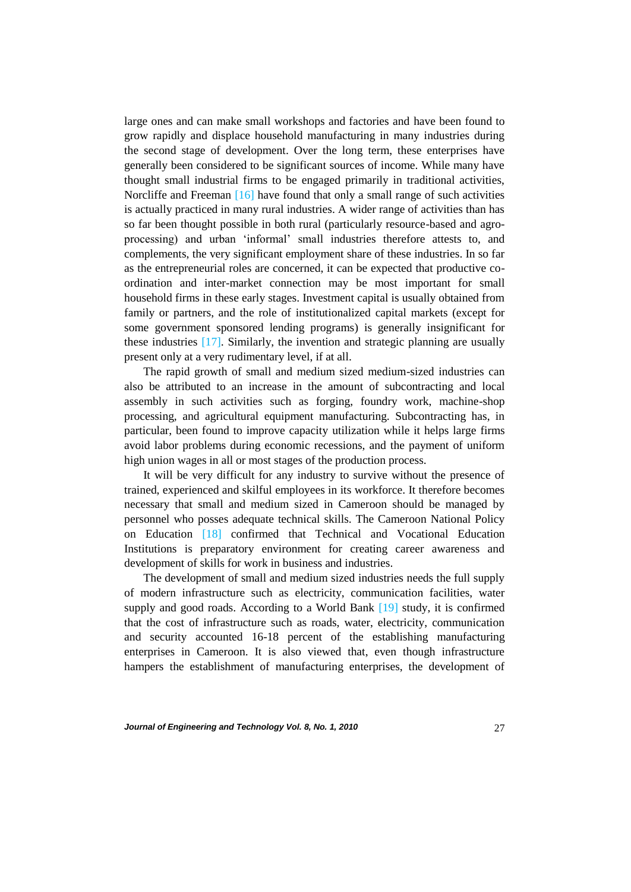large ones and can make small workshops and factories and have been found to grow rapidly and displace household manufacturing in many industries during the second stage of development. Over the long term, these enterprises have generally been considered to be significant sources of income. While many have thought small industrial firms to be engaged primarily in traditional activities, Norcliffe and Freeman [16] have found that only a small range of such activities is actually practiced in many rural industries. A wider range of activities than has so far been thought possible in both rural (particularly resource-based and agroprocessing) and urban 'informal' small industries therefore attests to, and complements, the very significant employment share of these industries. In so far as the entrepreneurial roles are concerned, it can be expected that productive coordination and inter-market connection may be most important for small household firms in these early stages. Investment capital is usually obtained from family or partners, and the role of institutionalized capital markets (except for some government sponsored lending programs) is generally insignificant for these industries [17]. Similarly, the invention and strategic planning are usually present only at a very rudimentary level, if at all.

The rapid growth of small and medium sized medium-sized industries can also be attributed to an increase in the amount of subcontracting and local assembly in such activities such as forging, foundry work, machine-shop processing, and agricultural equipment manufacturing. Subcontracting has, in particular, been found to improve capacity utilization while it helps large firms avoid labor problems during economic recessions, and the payment of uniform high union wages in all or most stages of the production process.

It will be very difficult for any industry to survive without the presence of trained, experienced and skilful employees in its workforce. It therefore becomes necessary that small and medium sized in Cameroon should be managed by personnel who posses adequate technical skills. The Cameroon National Policy on Education [18] confirmed that Technical and Vocational Education Institutions is preparatory environment for creating career awareness and development of skills for work in business and industries.

The development of small and medium sized industries needs the full supply of modern infrastructure such as electricity, communication facilities, water supply and good roads. According to a World Bank [19] study, it is confirmed that the cost of infrastructure such as roads, water, electricity, communication and security accounted 16-18 percent of the establishing manufacturing enterprises in Cameroon. It is also viewed that, even though infrastructure hampers the establishment of manufacturing enterprises, the development of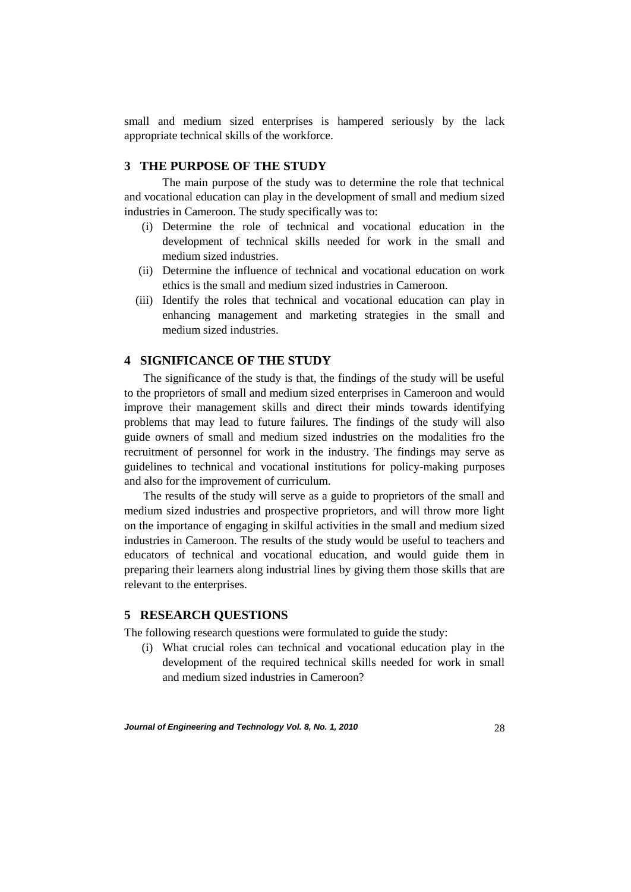small and medium sized enterprises is hampered seriously by the lack appropriate technical skills of the workforce.

## **3 THE PURPOSE OF THE STUDY**

The main purpose of the study was to determine the role that technical and vocational education can play in the development of small and medium sized industries in Cameroon. The study specifically was to:

- (i) Determine the role of technical and vocational education in the development of technical skills needed for work in the small and medium sized industries.
- (ii) Determine the influence of technical and vocational education on work ethics is the small and medium sized industries in Cameroon.
- (iii) Identify the roles that technical and vocational education can play in enhancing management and marketing strategies in the small and medium sized industries.

## **4 SIGNIFICANCE OF THE STUDY**

The significance of the study is that, the findings of the study will be useful to the proprietors of small and medium sized enterprises in Cameroon and would improve their management skills and direct their minds towards identifying problems that may lead to future failures. The findings of the study will also guide owners of small and medium sized industries on the modalities fro the recruitment of personnel for work in the industry. The findings may serve as guidelines to technical and vocational institutions for policy-making purposes and also for the improvement of curriculum.

The results of the study will serve as a guide to proprietors of the small and medium sized industries and prospective proprietors, and will throw more light on the importance of engaging in skilful activities in the small and medium sized industries in Cameroon. The results of the study would be useful to teachers and educators of technical and vocational education, and would guide them in preparing their learners along industrial lines by giving them those skills that are relevant to the enterprises.

### **5 RESEARCH QUESTIONS**

The following research questions were formulated to guide the study:

(i) What crucial roles can technical and vocational education play in the development of the required technical skills needed for work in small and medium sized industries in Cameroon?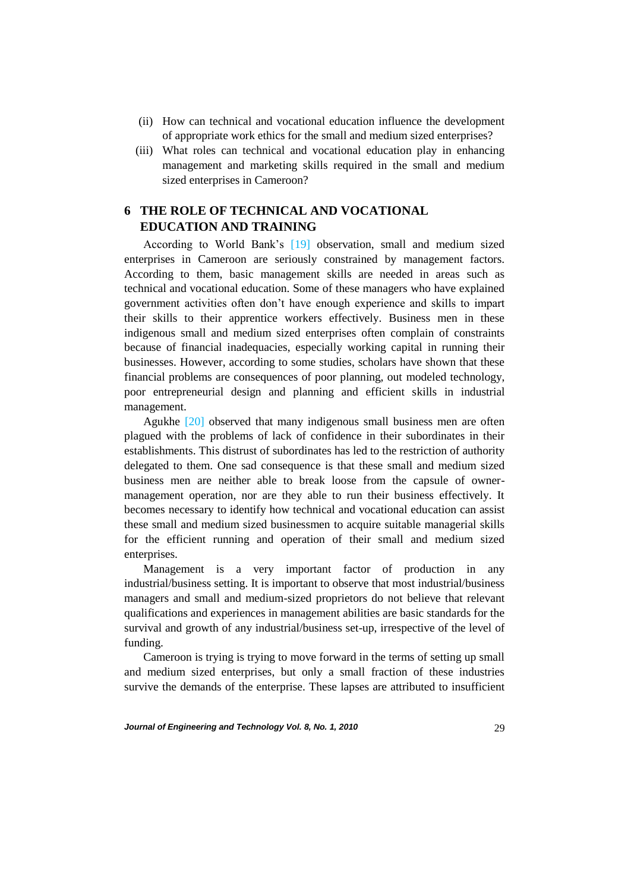- (ii) How can technical and vocational education influence the development of appropriate work ethics for the small and medium sized enterprises?
- (iii) What roles can technical and vocational education play in enhancing management and marketing skills required in the small and medium sized enterprises in Cameroon?

# **6 THE ROLE OF TECHNICAL AND VOCATIONAL EDUCATION AND TRAINING**

According to World Bank's [19] observation, small and medium sized enterprises in Cameroon are seriously constrained by management factors. According to them, basic management skills are needed in areas such as technical and vocational education. Some of these managers who have explained government activities often don't have enough experience and skills to impart their skills to their apprentice workers effectively. Business men in these indigenous small and medium sized enterprises often complain of constraints because of financial inadequacies, especially working capital in running their businesses. However, according to some studies, scholars have shown that these financial problems are consequences of poor planning, out modeled technology, poor entrepreneurial design and planning and efficient skills in industrial management.

Agukhe [20] observed that many indigenous small business men are often plagued with the problems of lack of confidence in their subordinates in their establishments. This distrust of subordinates has led to the restriction of authority delegated to them. One sad consequence is that these small and medium sized business men are neither able to break loose from the capsule of ownermanagement operation, nor are they able to run their business effectively. It becomes necessary to identify how technical and vocational education can assist these small and medium sized businessmen to acquire suitable managerial skills for the efficient running and operation of their small and medium sized enterprises.

Management is a very important factor of production in any industrial/business setting. It is important to observe that most industrial/business managers and small and medium-sized proprietors do not believe that relevant qualifications and experiences in management abilities are basic standards for the survival and growth of any industrial/business set-up, irrespective of the level of funding.

Cameroon is trying is trying to move forward in the terms of setting up small and medium sized enterprises, but only a small fraction of these industries survive the demands of the enterprise. These lapses are attributed to insufficient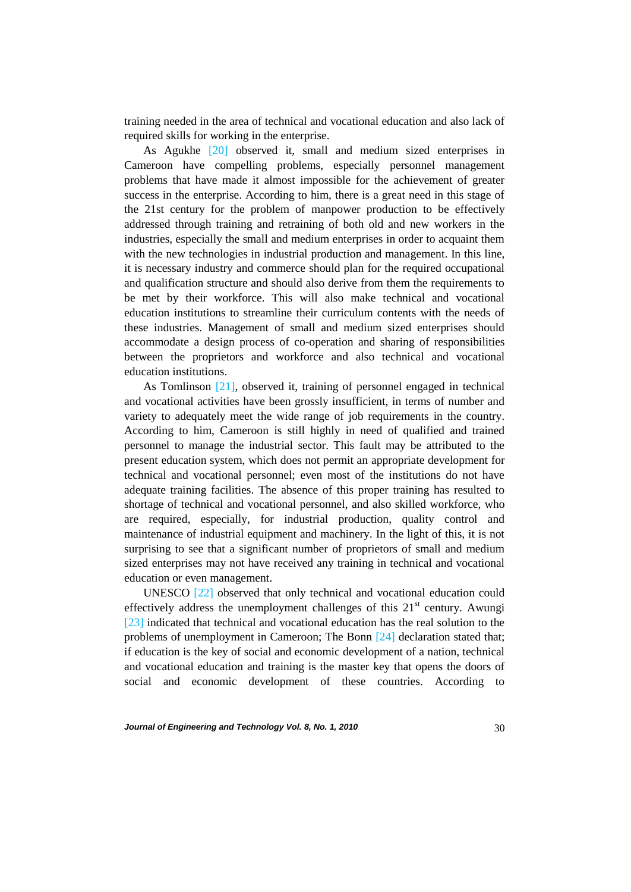training needed in the area of technical and vocational education and also lack of required skills for working in the enterprise.

As Agukhe [20] observed it, small and medium sized enterprises in Cameroon have compelling problems, especially personnel management problems that have made it almost impossible for the achievement of greater success in the enterprise. According to him, there is a great need in this stage of the 21st century for the problem of manpower production to be effectively addressed through training and retraining of both old and new workers in the industries, especially the small and medium enterprises in order to acquaint them with the new technologies in industrial production and management. In this line, it is necessary industry and commerce should plan for the required occupational and qualification structure and should also derive from them the requirements to be met by their workforce. This will also make technical and vocational education institutions to streamline their curriculum contents with the needs of these industries. Management of small and medium sized enterprises should accommodate a design process of co-operation and sharing of responsibilities between the proprietors and workforce and also technical and vocational education institutions.

As Tomlinson [21], observed it, training of personnel engaged in technical and vocational activities have been grossly insufficient, in terms of number and variety to adequately meet the wide range of job requirements in the country. According to him, Cameroon is still highly in need of qualified and trained personnel to manage the industrial sector. This fault may be attributed to the present education system, which does not permit an appropriate development for technical and vocational personnel; even most of the institutions do not have adequate training facilities. The absence of this proper training has resulted to shortage of technical and vocational personnel, and also skilled workforce, who are required, especially, for industrial production, quality control and maintenance of industrial equipment and machinery. In the light of this, it is not surprising to see that a significant number of proprietors of small and medium sized enterprises may not have received any training in technical and vocational education or even management.

UNESCO [22] observed that only technical and vocational education could effectively address the unemployment challenges of this  $21<sup>st</sup>$  century. Awungi [23] indicated that technical and vocational education has the real solution to the problems of unemployment in Cameroon; The Bonn [24] declaration stated that; if education is the key of social and economic development of a nation, technical and vocational education and training is the master key that opens the doors of social and economic development of these countries. According to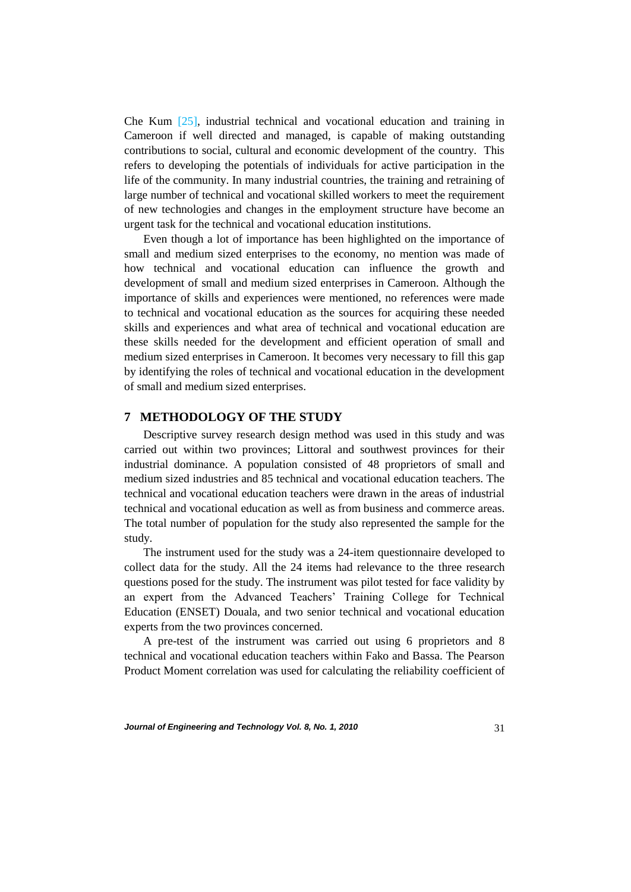Che Kum [25], industrial technical and vocational education and training in Cameroon if well directed and managed, is capable of making outstanding contributions to social, cultural and economic development of the country. This refers to developing the potentials of individuals for active participation in the life of the community. In many industrial countries, the training and retraining of large number of technical and vocational skilled workers to meet the requirement of new technologies and changes in the employment structure have become an urgent task for the technical and vocational education institutions.

Even though a lot of importance has been highlighted on the importance of small and medium sized enterprises to the economy, no mention was made of how technical and vocational education can influence the growth and development of small and medium sized enterprises in Cameroon. Although the importance of skills and experiences were mentioned, no references were made to technical and vocational education as the sources for acquiring these needed skills and experiences and what area of technical and vocational education are these skills needed for the development and efficient operation of small and medium sized enterprises in Cameroon. It becomes very necessary to fill this gap by identifying the roles of technical and vocational education in the development of small and medium sized enterprises.

### **7 METHODOLOGY OF THE STUDY**

Descriptive survey research design method was used in this study and was carried out within two provinces; Littoral and southwest provinces for their industrial dominance. A population consisted of 48 proprietors of small and medium sized industries and 85 technical and vocational education teachers. The technical and vocational education teachers were drawn in the areas of industrial technical and vocational education as well as from business and commerce areas. The total number of population for the study also represented the sample for the study.

The instrument used for the study was a 24-item questionnaire developed to collect data for the study. All the 24 items had relevance to the three research questions posed for the study. The instrument was pilot tested for face validity by an expert from the Advanced Teachers' Training College for Technical Education (ENSET) Douala, and two senior technical and vocational education experts from the two provinces concerned.

A pre-test of the instrument was carried out using 6 proprietors and 8 technical and vocational education teachers within Fako and Bassa. The Pearson Product Moment correlation was used for calculating the reliability coefficient of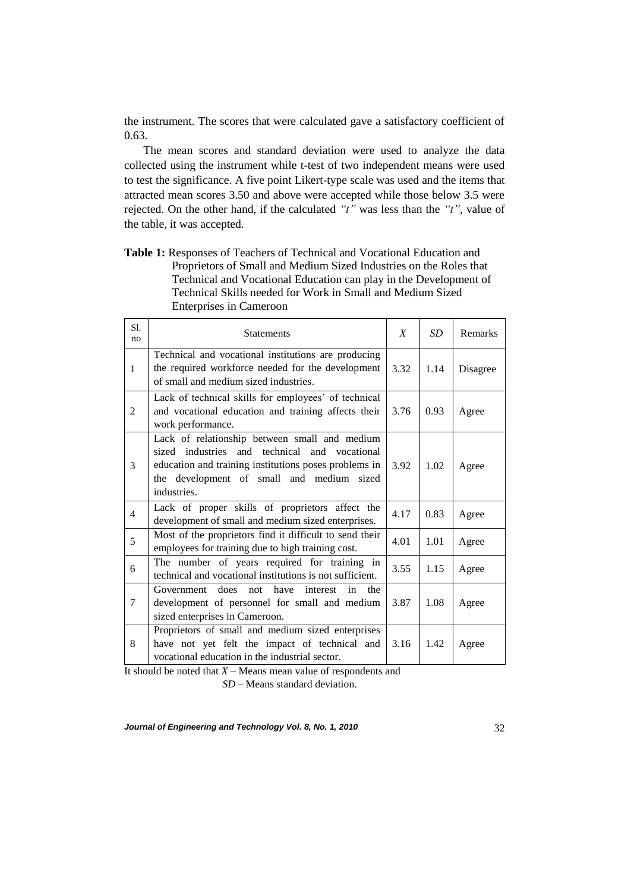the instrument. The scores that were calculated gave a satisfactory coefficient of 0.63.

The mean scores and standard deviation were used to analyze the data collected using the instrument while t-test of two independent means were used to test the significance. A five point Likert-type scale was used and the items that attracted mean scores 3.50 and above were accepted while those below 3.5 were rejected. On the other hand, if the calculated *"t"* was less than the *"t"*, value of the table, it was accepted.

**Table 1:** Responses of Teachers of Technical and Vocational Education and Proprietors of Small and Medium Sized Industries on the Roles that Technical and Vocational Education can play in the Development of Technical Skills needed for Work in Small and Medium Sized Enterprises in Cameroon

| Sl.<br>no      | <b>Statements</b>                                                                                                                                                                                                            | X    | SD   | Remarks  |
|----------------|------------------------------------------------------------------------------------------------------------------------------------------------------------------------------------------------------------------------------|------|------|----------|
| $\mathbf{1}$   | Technical and vocational institutions are producing<br>the required workforce needed for the development<br>of small and medium sized industries.                                                                            | 3.32 | 1.14 | Disagree |
| $\overline{2}$ | Lack of technical skills for employees' of technical<br>and vocational education and training affects their<br>work performance.                                                                                             | 3.76 | 0.93 | Agree    |
| 3              | Lack of relationship between small and medium<br>sized industries<br>and technical<br>and<br>vocational<br>education and training institutions poses problems in<br>the development of small and medium sized<br>industries. | 3.92 | 1.02 | Agree    |
| $\overline{4}$ | Lack of proper skills of proprietors affect the<br>development of small and medium sized enterprises.                                                                                                                        | 4.17 | 0.83 | Agree    |
| 5              | Most of the proprietors find it difficult to send their<br>employees for training due to high training cost.                                                                                                                 | 4.01 | 1.01 | Agree    |
| 6              | The number of years required for training in<br>technical and vocational institutions is not sufficient.                                                                                                                     | 3.55 | 1.15 | Agree    |
| 7              | does<br>have<br>Government<br>the<br>not<br>interest<br>in<br>development of personnel for small and medium<br>sized enterprises in Cameroon.                                                                                | 3.87 | 1.08 | Agree    |
| 8              | Proprietors of small and medium sized enterprises<br>have not yet felt the impact of technical and<br>vocational education in the industrial sector.                                                                         | 3.16 | 1.42 | Agree    |

It should be noted that *X* – Means mean value of respondents and

*SD* – Means standard deviation.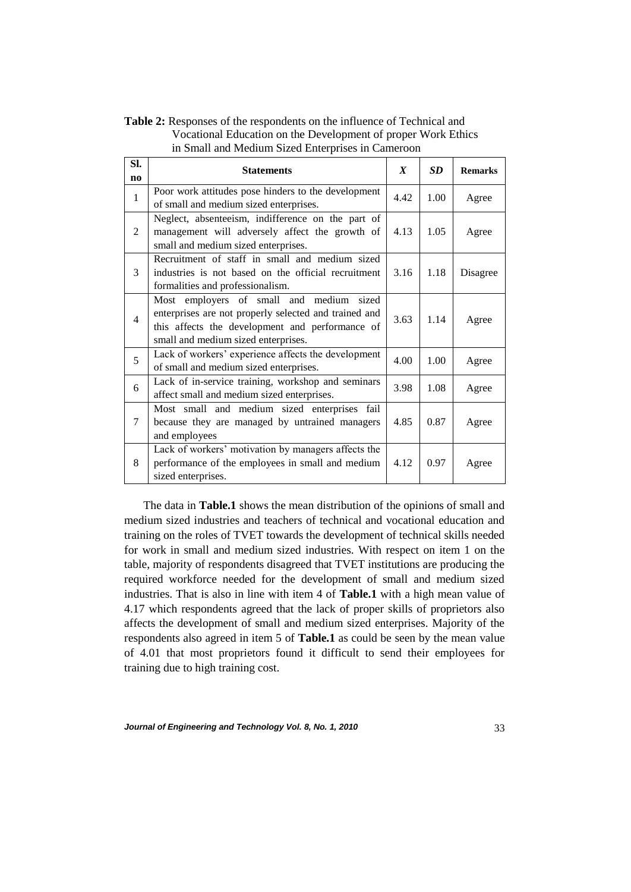**Table 2:** Responses of the respondents on the influence of Technical and Vocational Education on the Development of proper Work Ethics in Small and Medium Sized Enterprises in Cameroon

| SI.            | <b>Statements</b>                                                                                                                                                                           | $\boldsymbol{X}$ | <b>SD</b> | <b>Remarks</b> |
|----------------|---------------------------------------------------------------------------------------------------------------------------------------------------------------------------------------------|------------------|-----------|----------------|
| $\mathbf{n}$   |                                                                                                                                                                                             |                  |           |                |
| $\mathbf{1}$   | Poor work attitudes pose hinders to the development<br>of small and medium sized enterprises.                                                                                               | 4.42             | 1.00      | Agree          |
| 2              | Neglect, absenteeism, indifference on the part of<br>management will adversely affect the growth of<br>small and medium sized enterprises.                                                  | 4.13             | 1.05      | Agree          |
| 3              | Recruitment of staff in small and medium sized<br>industries is not based on the official recruitment<br>formalities and professionalism.                                                   | 3.16             | 1.18      | Disagree       |
| $\overline{4}$ | Most employers of small and medium sized<br>enterprises are not properly selected and trained and<br>this affects the development and performance of<br>small and medium sized enterprises. | 3.63             | 1.14      | Agree          |
| 5              | Lack of workers' experience affects the development<br>of small and medium sized enterprises.                                                                                               | 4.00             | 1.00      | Agree          |
| 6              | Lack of in-service training, workshop and seminars<br>affect small and medium sized enterprises.                                                                                            | 3.98             | 1.08      | Agree          |
| 7              | Most small and medium sized enterprises fail<br>because they are managed by untrained managers<br>and employees                                                                             | 4.85             | 0.87      | Agree          |
| 8              | Lack of workers' motivation by managers affects the<br>performance of the employees in small and medium<br>sized enterprises.                                                               | 4.12             | 0.97      | Agree          |

The data in **Table.1** shows the mean distribution of the opinions of small and medium sized industries and teachers of technical and vocational education and training on the roles of TVET towards the development of technical skills needed for work in small and medium sized industries. With respect on item 1 on the table, majority of respondents disagreed that TVET institutions are producing the required workforce needed for the development of small and medium sized industries. That is also in line with item 4 of **Table.1** with a high mean value of 4.17 which respondents agreed that the lack of proper skills of proprietors also affects the development of small and medium sized enterprises. Majority of the respondents also agreed in item 5 of **Table.1** as could be seen by the mean value of 4.01 that most proprietors found it difficult to send their employees for training due to high training cost.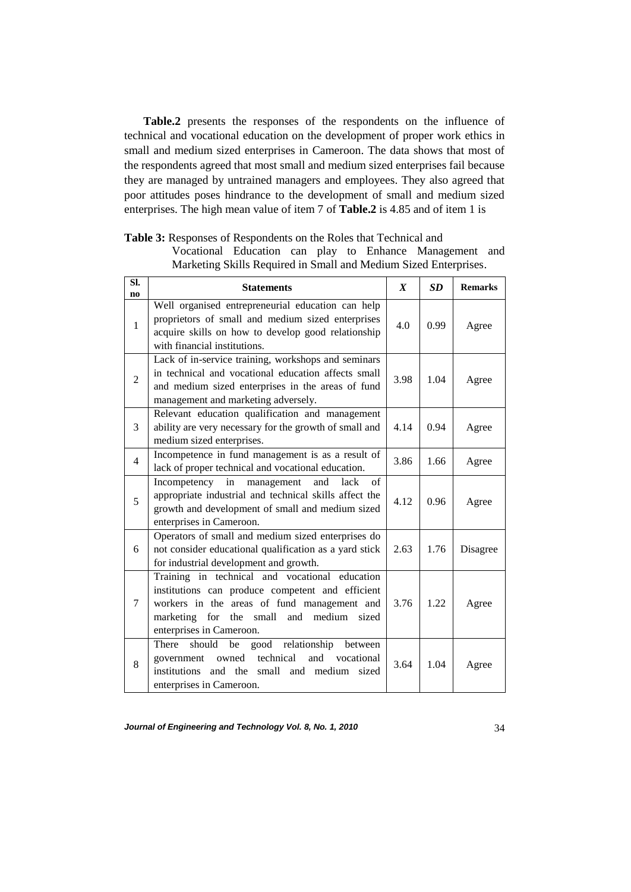**Table.2** presents the responses of the respondents on the influence of technical and vocational education on the development of proper work ethics in small and medium sized enterprises in Cameroon. The data shows that most of the respondents agreed that most small and medium sized enterprises fail because they are managed by untrained managers and employees. They also agreed that poor attitudes poses hindrance to the development of small and medium sized enterprises. The high mean value of item 7 of **Table.2** is 4.85 and of item 1 is

| SI.<br>no      | <b>Statements</b>                                                                                                                                                                                                               | $\boldsymbol{X}$ | <b>SD</b> | <b>Remarks</b> |
|----------------|---------------------------------------------------------------------------------------------------------------------------------------------------------------------------------------------------------------------------------|------------------|-----------|----------------|
| $\mathbf{1}$   | Well organised entrepreneurial education can help<br>proprietors of small and medium sized enterprises<br>acquire skills on how to develop good relationship<br>with financial institutions.                                    | 4.0              | 0.99      | Agree          |
| $\overline{2}$ | Lack of in-service training, workshops and seminars<br>in technical and vocational education affects small<br>and medium sized enterprises in the areas of fund<br>management and marketing adversely.                          | 3.98             | 1.04      | Agree          |
| 3              | Relevant education qualification and management<br>ability are very necessary for the growth of small and<br>medium sized enterprises.                                                                                          | 4.14             | 0.94      | Agree          |
| $\overline{4}$ | Incompetence in fund management is as a result of<br>lack of proper technical and vocational education.                                                                                                                         | 3.86             | 1.66      | Agree          |
| 5              | Incompetency in management<br>and<br>lack<br>of<br>appropriate industrial and technical skills affect the<br>growth and development of small and medium sized<br>enterprises in Cameroon.                                       | 4.12             | 0.96      | Agree          |
| 6              | Operators of small and medium sized enterprises do<br>not consider educational qualification as a yard stick<br>for industrial development and growth.                                                                          | 2.63             | 1.76      | Disagree       |
| 7              | Training in technical and vocational education<br>institutions can produce competent and efficient<br>workers in the areas of fund management and<br>and medium<br>marketing for the small<br>sized<br>enterprises in Cameroon. | 3.76             | 1.22      | Agree          |
| 8              | There<br>should<br>good relationship<br>be<br>between<br>government owned technical<br>and vocational<br>institutions and the small and medium<br>sized<br>enterprises in Cameroon.                                             | 3.64             | 1.04      | Agree          |

**Table 3:** Responses of Respondents on the Roles that Technical and

Vocational Education can play to Enhance Management and Marketing Skills Required in Small and Medium Sized Enterprises.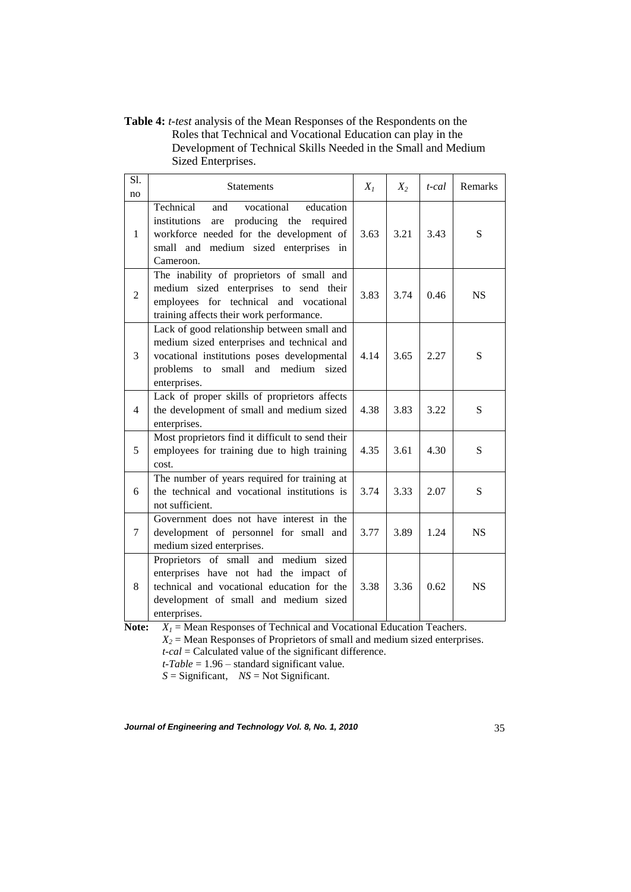**Table 4:** *t-test* analysis of the Mean Responses of the Respondents on the Roles that Technical and Vocational Education can play in the Development of Technical Skills Needed in the Small and Medium Sized Enterprises.

| Sl.<br>no      | Statements                                                                                                                                                                                           | $X_I$ | $X_2$ | t-cal | Remarks   |
|----------------|------------------------------------------------------------------------------------------------------------------------------------------------------------------------------------------------------|-------|-------|-------|-----------|
| 1              | Technical<br>vocational<br>education<br>and<br>institutions<br>are producing the required<br>workforce needed for the development of<br>small and medium sized enterprises in<br>Cameroon.           | 3.63  | 3.21  | 3.43  | S         |
| $\overline{2}$ | The inability of proprietors of small and<br>medium sized enterprises to send their<br>employees for technical and vocational<br>training affects their work performance.                            | 3.83  | 3.74  | 0.46  | <b>NS</b> |
| 3              | Lack of good relationship between small and<br>medium sized enterprises and technical and<br>vocational institutions poses developmental<br>problems to small<br>and medium<br>sized<br>enterprises. | 4.14  | 3.65  | 2.27  | S         |
| $\overline{4}$ | Lack of proper skills of proprietors affects<br>the development of small and medium sized<br>enterprises.                                                                                            | 4.38  | 3.83  | 3.22  | S         |
| 5              | Most proprietors find it difficult to send their<br>employees for training due to high training<br>cost.                                                                                             | 4.35  | 3.61  | 4.30  | S         |
| 6              | The number of years required for training at<br>the technical and vocational institutions is<br>not sufficient.                                                                                      | 3.74  | 3.33  | 2.07  | S         |
| 7              | Government does not have interest in the<br>development of personnel for small and<br>medium sized enterprises.                                                                                      | 3.77  | 3.89  | 1.24  | <b>NS</b> |
| 8              | Proprietors of small and medium sized<br>enterprises have not had the impact of<br>technical and vocational education for the<br>development of small and medium sized<br>enterprises.               | 3.38  | 3.36  | 0.62  | <b>NS</b> |

**Note:** *X<sup>1</sup>* = Mean Responses of Technical and Vocational Education Teachers.  $X_2$  = Mean Responses of Proprietors of small and medium sized enterprises. *t-cal* = Calculated value of the significant difference. *t-Table* = 1.96 – standard significant value.

*S* = Significant, *NS* = Not Significant.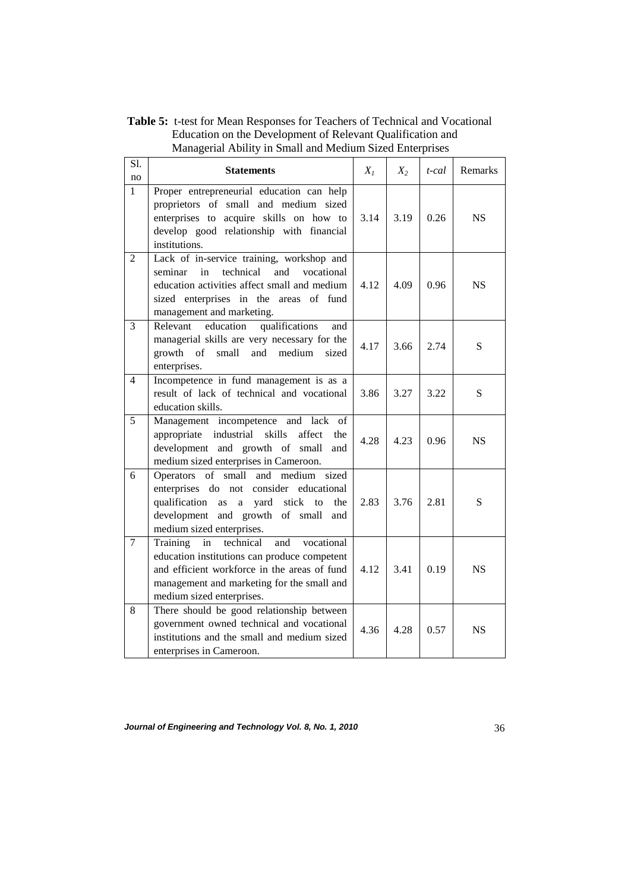**Table 5:** t-test for Mean Responses for Teachers of Technical and Vocational Education on the Development of Relevant Qualification and Managerial Ability in Small and Medium Sized Enterprises

| Sl.<br>no      | <b>Statements</b>                                                                                                                                                                                                           | $X_I$ | $X_2$ | t-cal | Remarks   |
|----------------|-----------------------------------------------------------------------------------------------------------------------------------------------------------------------------------------------------------------------------|-------|-------|-------|-----------|
| $\mathbf{1}$   | Proper entrepreneurial education can help<br>proprietors of small and medium sized<br>enterprises to acquire skills on how to<br>develop good relationship with financial<br>institutions.                                  | 3.14  | 3.19  | 0.26  | NS.       |
| $\overline{2}$ | Lack of in-service training, workshop and<br>technical<br>and<br>seminar<br>in<br>vocational<br>education activities affect small and medium<br>sized enterprises in the areas of fund<br>management and marketing.         | 4.12  | 4.09  | 0.96  | <b>NS</b> |
| 3              | Relevant<br>education<br>qualifications<br>and<br>managerial skills are very necessary for the<br>and medium<br>growth<br>of<br>small<br>sized<br>enterprises.                                                              | 4.17  | 3.66  | 2.74  | S         |
| 4              | Incompetence in fund management is as a<br>result of lack of technical and vocational<br>education skills.                                                                                                                  | 3.86  | 3.27  | 3.22  | S         |
| 5              | Management incompetence and lack of<br>appropriate industrial<br>skills<br>affect<br>the<br>development and growth of small<br>and<br>medium sized enterprises in Cameroon.                                                 | 4.28  | 4.23  | 0.96  | <b>NS</b> |
| 6              | Operators of small and medium sized<br>enterprises do not<br>consider educational<br>qualification<br>yard stick<br>the<br>as<br>a<br>to<br>development and growth of small<br>and<br>medium sized enterprises.             | 2.83  | 3.76  | 2.81  | S         |
| 7              | technical<br>Training<br>in<br>and<br>vocational<br>education institutions can produce competent<br>and efficient workforce in the areas of fund<br>management and marketing for the small and<br>medium sized enterprises. | 4.12  | 3.41  | 0.19  | <b>NS</b> |
| 8              | There should be good relationship between<br>government owned technical and vocational<br>institutions and the small and medium sized<br>enterprises in Cameroon.                                                           | 4.36  | 4.28  | 0.57  | <b>NS</b> |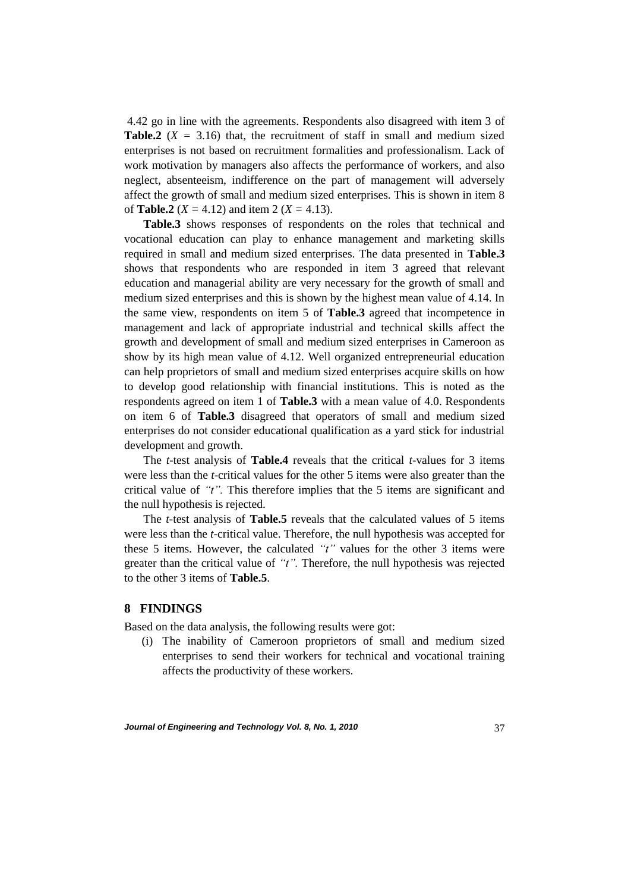4.42 go in line with the agreements. Respondents also disagreed with item 3 of **Table.2** ( $X = 3.16$ ) that, the recruitment of staff in small and medium sized enterprises is not based on recruitment formalities and professionalism. Lack of work motivation by managers also affects the performance of workers, and also neglect, absenteeism, indifference on the part of management will adversely affect the growth of small and medium sized enterprises. This is shown in item 8 of **Table.2** ( $X = 4.12$ ) and item 2 ( $X = 4.13$ ).

**Table.3** shows responses of respondents on the roles that technical and vocational education can play to enhance management and marketing skills required in small and medium sized enterprises. The data presented in **Table.3** shows that respondents who are responded in item 3 agreed that relevant education and managerial ability are very necessary for the growth of small and medium sized enterprises and this is shown by the highest mean value of 4.14. In the same view, respondents on item 5 of **Table.3** agreed that incompetence in management and lack of appropriate industrial and technical skills affect the growth and development of small and medium sized enterprises in Cameroon as show by its high mean value of 4.12. Well organized entrepreneurial education can help proprietors of small and medium sized enterprises acquire skills on how to develop good relationship with financial institutions. This is noted as the respondents agreed on item 1 of **Table.3** with a mean value of 4.0. Respondents on item 6 of **Table.3** disagreed that operators of small and medium sized enterprises do not consider educational qualification as a yard stick for industrial development and growth.

The *t*-test analysis of **Table.4** reveals that the critical *t*-values for 3 items were less than the *t*-critical values for the other 5 items were also greater than the critical value of *"t".* This therefore implies that the 5 items are significant and the null hypothesis is rejected.

The *t-*test analysis of **Table.5** reveals that the calculated values of 5 items were less than the *t-*critical value. Therefore, the null hypothesis was accepted for these 5 items. However, the calculated *"t"* values for the other 3 items were greater than the critical value of *"t".* Therefore, the null hypothesis was rejected to the other 3 items of **Table.5**.

# **8 FINDINGS**

Based on the data analysis, the following results were got:

(i) The inability of Cameroon proprietors of small and medium sized enterprises to send their workers for technical and vocational training affects the productivity of these workers.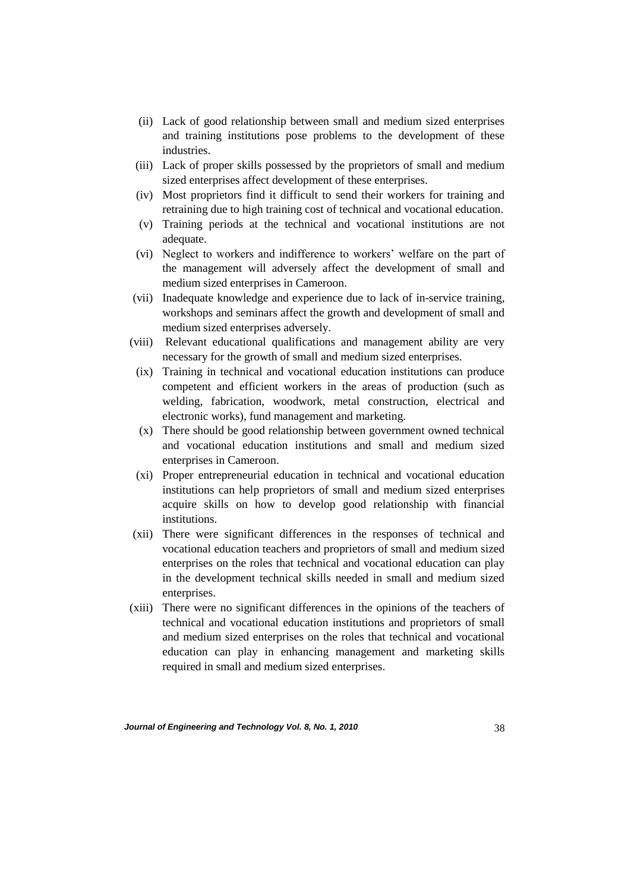- (ii) Lack of good relationship between small and medium sized enterprises and training institutions pose problems to the development of these industries.
- (iii) Lack of proper skills possessed by the proprietors of small and medium sized enterprises affect development of these enterprises.
- (iv) Most proprietors find it difficult to send their workers for training and retraining due to high training cost of technical and vocational education.
- (v) Training periods at the technical and vocational institutions are not adequate.
- (vi) Neglect to workers and indifference to workers' welfare on the part of the management will adversely affect the development of small and medium sized enterprises in Cameroon.
- (vii) Inadequate knowledge and experience due to lack of in-service training, workshops and seminars affect the growth and development of small and medium sized enterprises adversely.
- (viii) Relevant educational qualifications and management ability are very necessary for the growth of small and medium sized enterprises.
- (ix) Training in technical and vocational education institutions can produce competent and efficient workers in the areas of production (such as welding, fabrication, woodwork, metal construction, electrical and electronic works), fund management and marketing.
- (x) There should be good relationship between government owned technical and vocational education institutions and small and medium sized enterprises in Cameroon.
- (xi) Proper entrepreneurial education in technical and vocational education institutions can help proprietors of small and medium sized enterprises acquire skills on how to develop good relationship with financial institutions.
- (xii) There were significant differences in the responses of technical and vocational education teachers and proprietors of small and medium sized enterprises on the roles that technical and vocational education can play in the development technical skills needed in small and medium sized enterprises.
- (xiii) There were no significant differences in the opinions of the teachers of technical and vocational education institutions and proprietors of small and medium sized enterprises on the roles that technical and vocational education can play in enhancing management and marketing skills required in small and medium sized enterprises.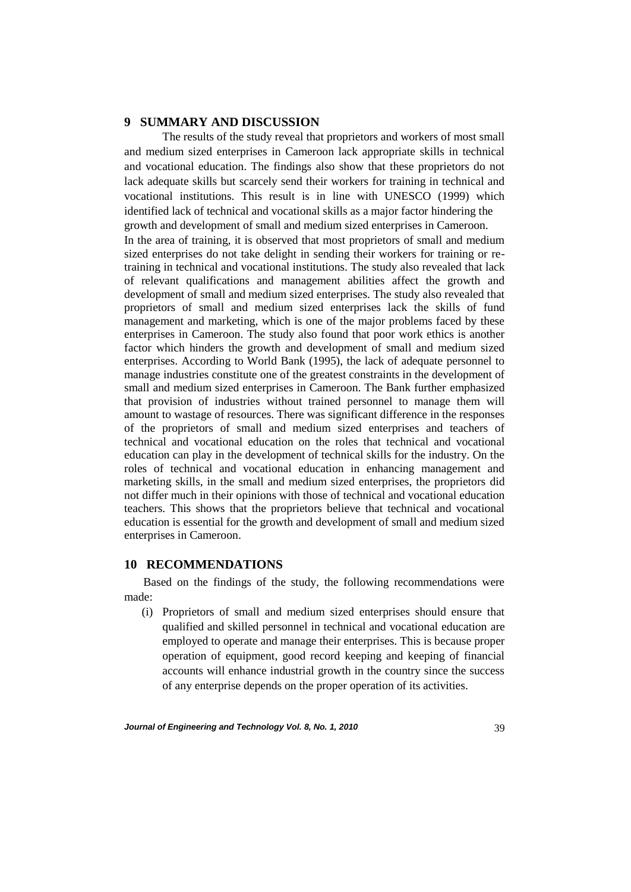### **9 SUMMARY AND DISCUSSION**

The results of the study reveal that proprietors and workers of most small and medium sized enterprises in Cameroon lack appropriate skills in technical and vocational education. The findings also show that these proprietors do not lack adequate skills but scarcely send their workers for training in technical and vocational institutions. This result is in line with UNESCO (1999) which identified lack of technical and vocational skills as a major factor hindering the growth and development of small and medium sized enterprises in Cameroon. In the area of training, it is observed that most proprietors of small and medium sized enterprises do not take delight in sending their workers for training or retraining in technical and vocational institutions. The study also revealed that lack of relevant qualifications and management abilities affect the growth and development of small and medium sized enterprises. The study also revealed that proprietors of small and medium sized enterprises lack the skills of fund management and marketing, which is one of the major problems faced by these enterprises in Cameroon. The study also found that poor work ethics is another factor which hinders the growth and development of small and medium sized enterprises. According to World Bank (1995), the lack of adequate personnel to manage industries constitute one of the greatest constraints in the development of small and medium sized enterprises in Cameroon. The Bank further emphasized that provision of industries without trained personnel to manage them will amount to wastage of resources. There was significant difference in the responses of the proprietors of small and medium sized enterprises and teachers of technical and vocational education on the roles that technical and vocational education can play in the development of technical skills for the industry. On the roles of technical and vocational education in enhancing management and marketing skills, in the small and medium sized enterprises, the proprietors did not differ much in their opinions with those of technical and vocational education teachers. This shows that the proprietors believe that technical and vocational education is essential for the growth and development of small and medium sized enterprises in Cameroon.

### **10 RECOMMENDATIONS**

Based on the findings of the study, the following recommendations were made:

(i) Proprietors of small and medium sized enterprises should ensure that qualified and skilled personnel in technical and vocational education are employed to operate and manage their enterprises. This is because proper operation of equipment, good record keeping and keeping of financial accounts will enhance industrial growth in the country since the success of any enterprise depends on the proper operation of its activities.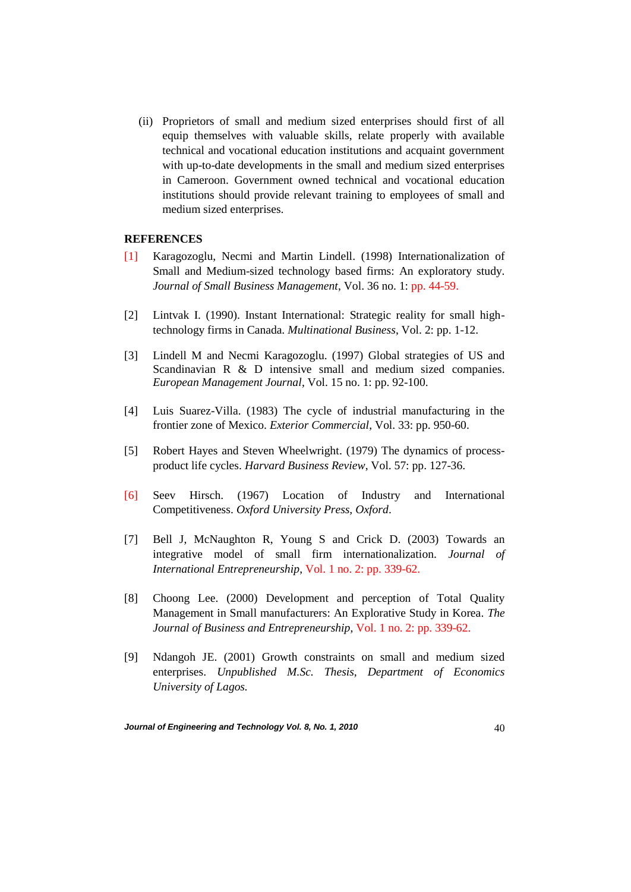(ii) Proprietors of small and medium sized enterprises should first of all equip themselves with valuable skills, relate properly with available technical and vocational education institutions and acquaint government with up-to-date developments in the small and medium sized enterprises in Cameroon. Government owned technical and vocational education institutions should provide relevant training to employees of small and medium sized enterprises.

### **REFERENCES**

- [1] Karagozoglu, Necmi and Martin Lindell. (1998) Internationalization of Small and Medium-sized technology based firms: An exploratory study. *Journal of Small Business Management*, Vol. 36 no. 1: pp. 44-59.
- [2] Lintvak I. (1990). Instant International: Strategic reality for small hightechnology firms in Canada. *Multinational Business*, Vol. 2: pp. 1-12.
- [3] Lindell M and Necmi Karagozoglu. (1997) Global strategies of US and Scandinavian R & D intensive small and medium sized companies. *European Management Journal*, Vol. 15 no. 1: pp. 92-100.
- [4] Luis Suarez-Villa. (1983) The cycle of industrial manufacturing in the frontier zone of Mexico. *Exterior Commercial*, Vol. 33: pp. 950-60.
- [5] Robert Hayes and Steven Wheelwright. (1979) The dynamics of processproduct life cycles. *Harvard Business Review*, Vol. 57: pp. 127-36.
- [6] Seev Hirsch. (1967) Location of Industry and International Competitiveness. *Oxford University Press, Oxford*.
- [7] Bell J, McNaughton R, Young S and Crick D. (2003) Towards an integrative model of small firm internationalization. *Journal of International Entrepreneurship*, Vol. 1 no. 2: pp. 339-62.
- [8] Choong Lee. (2000) Development and perception of Total Quality Management in Small manufacturers: An Explorative Study in Korea. *The Journal of Business and Entrepreneurship*, Vol. 1 no. 2: pp. 339-62.
- [9] Ndangoh JE. (2001) Growth constraints on small and medium sized enterprises. *Unpublished M.Sc. Thesis, Department of Economics University of Lagos.*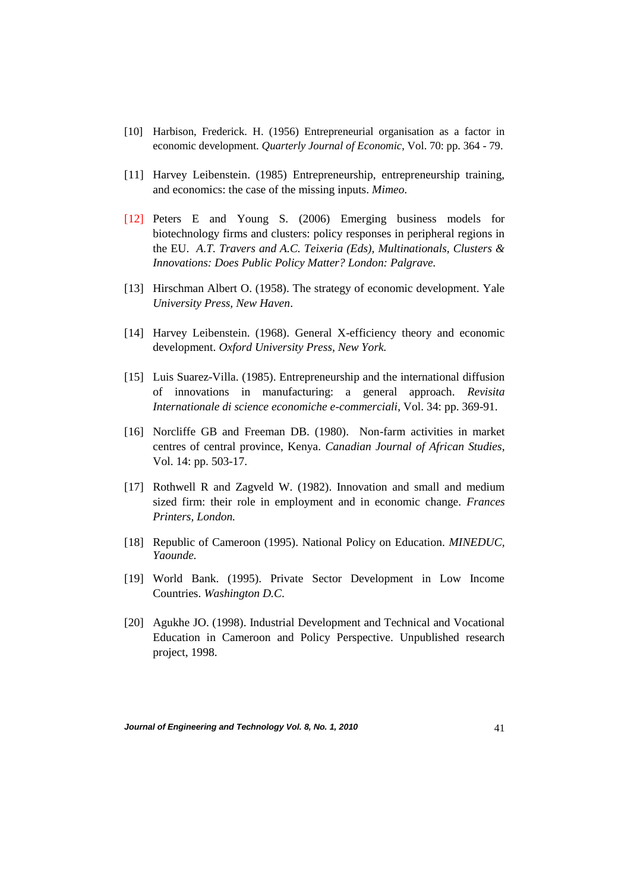- [10] Harbison, Frederick. H. (1956) Entrepreneurial organisation as a factor in economic development. *Quarterly Journal of Economic*, Vol. 70: pp. 364 - 79.
- [11] Harvey Leibenstein. (1985) Entrepreneurship, entrepreneurship training, and economics: the case of the missing inputs. *Mimeo.*
- [12] Peters E and Young S. (2006) Emerging business models for biotechnology firms and clusters: policy responses in peripheral regions in the EU. *A.T. Travers and A.C. Teixeria (Eds), Multinationals, Clusters & Innovations: Does Public Policy Matter? London: Palgrave.*
- [13] Hirschman Albert O. (1958). The strategy of economic development. Yale *University Press, New Haven*.
- [14] Harvey Leibenstein. (1968). General X-efficiency theory and economic development. *Oxford University Press, New York.*
- [15] Luis Suarez-Villa. (1985). Entrepreneurship and the international diffusion of innovations in manufacturing: a general approach. *Revisita Internationale di science economiche e-commerciali*, Vol. 34: pp. 369-91.
- [16] Norcliffe GB and Freeman DB. (1980). Non-farm activities in market centres of central province, Kenya. *Canadian Journal of African Studies*, Vol. 14: pp. 503-17.
- [17] Rothwell R and Zagveld W. (1982). Innovation and small and medium sized firm: their role in employment and in economic change. *Frances Printers, London.*
- [18] Republic of Cameroon (1995). National Policy on Education. *MINEDUC, Yaounde.*
- [19] World Bank. (1995). Private Sector Development in Low Income Countries. *Washington D.C*.
- [20] Agukhe JO. (1998). Industrial Development and Technical and Vocational Education in Cameroon and Policy Perspective. Unpublished research project, 1998.